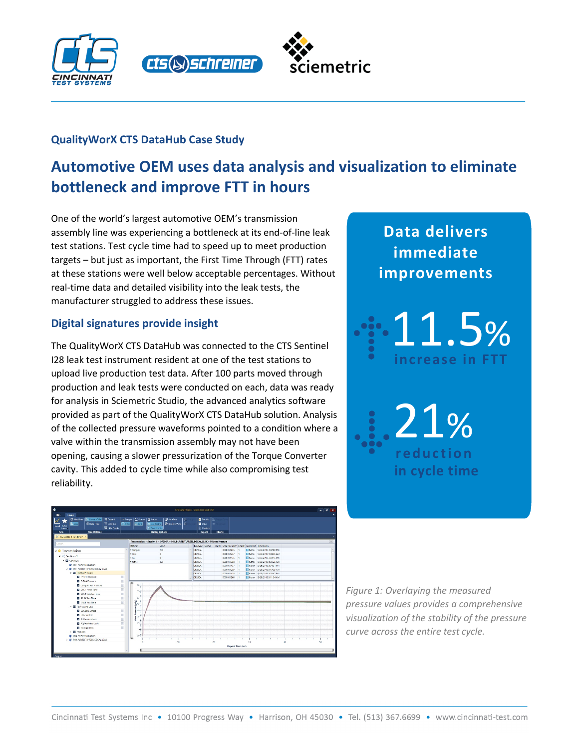





## **QualityWorX CTS DataHub Case Study**

# **Automotive OEM uses data analysis and visualization to eliminate bottleneck and improve FTT in hours**

One of the world's largest automotive OEM's transmission assembly line was experiencing a bottleneck at its end-of-line leak test stations. Test cycle time had to speed up to meet production targets – but just as important, the First Time Through (FTT) rates at these stations were well below acceptable percentages. Without real-time data and detailed visibility into the leak tests, the manufacturer struggled to address these issues.

## **Digital signatures provide insight**

The QualityWorX CTS DataHub was connected to the CTS Sentinel I28 leak test instrument resident at one of the test stations to upload live production test data. After 100 parts moved through production and leak tests were conducted on each, data was ready for analysis in Sciemetric Studio, the advanced analytics software provided as part of the QualityWorX CTS DataHub solution. Analysis of the collected pressure waveforms pointed to a condition where a valve within the transmission assembly may not have been opening, causing a slower pressurization of the Torque Converter cavity. This added to cycle time while also compromising test reliability.



**Data delivers immediate improvements** 



21% **reduction in cycle time**

*Figure 1: Overlaying the measured pressure values provides a comprehensive visualization of the stability of the pressure curve across the entire test cycle.*